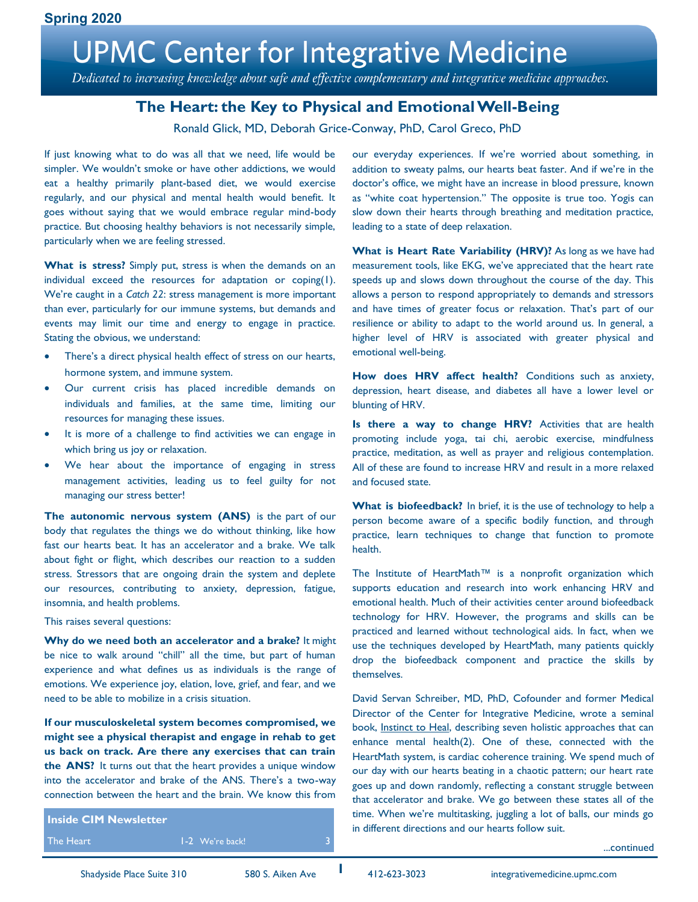# **UPMC Center for Integrative Medicine**

Dedicated to increasing knowledge about safe and effective complementary and integrative medicine approaches.

### **The Heart: the Key to Physical and Emotional Well-Being**

Ronald Glick, MD, Deborah Grice-Conway, PhD, Carol Greco, PhD

If just knowing what to do was all that we need, life would be simpler. We wouldn't smoke or have other addictions, we would eat a healthy primarily plant-based diet, we would exercise regularly, and our physical and mental health would benefit. It goes without saying that we would embrace regular mind-body practice. But choosing healthy behaviors is not necessarily simple, particularly when we are feeling stressed.

What is stress? Simply put, stress is when the demands on an individual exceed the resources for adaptation or coping(1). We're caught in a *Catch 22*: stress management is more important than ever, particularly for our immune systems, but demands and events may limit our time and energy to engage in practice. Stating the obvious, we understand:

- There's a direct physical health effect of stress on our hearts, hormone system, and immune system.
- Our current crisis has placed incredible demands on individuals and families, at the same time, limiting our resources for managing these issues.
- It is more of a challenge to find activities we can engage in which bring us joy or relaxation.
- We hear about the importance of engaging in stress management activities, leading us to feel guilty for not managing our stress better!

**The autonomic nervous system (ANS)** is the part of our body that regulates the things we do without thinking, like how fast our hearts beat. It has an accelerator and a brake. We talk about fight or flight, which describes our reaction to a sudden stress. Stressors that are ongoing drain the system and deplete our resources, contributing to anxiety, depression, fatigue, insomnia, and health problems.

This raises several questions:

**Why do we need both an accelerator and a brake?** It might be nice to walk around "chill" all the time, but part of human experience and what defines us as individuals is the range of emotions. We experience joy, elation, love, grief, and fear, and we need to be able to mobilize in a crisis situation.

**If our musculoskeletal system becomes compromised, we might see a physical therapist and engage in rehab to get us back on track. Are there any exercises that can train the ANS?** It turns out that the heart provides a unique window into the accelerator and brake of the ANS. There's a two-way connection between the heart and the brain. We know this from

**Inside CIM Newsletter**

The Heart 1-2 We're back! 2010 1-2 We're back!

our everyday experiences. If we're worried about something, in addition to sweaty palms, our hearts beat faster. And if we're in the doctor's office, we might have an increase in blood pressure, known as "white coat hypertension." The opposite is true too. Yogis can slow down their hearts through breathing and meditation practice, leading to a state of deep relaxation.

**What is Heart Rate Variability (HRV)?** As long as we have had measurement tools, like EKG, we've appreciated that the heart rate speeds up and slows down throughout the course of the day. This allows a person to respond appropriately to demands and stressors and have times of greater focus or relaxation. That's part of our resilience or ability to adapt to the world around us. In general, a higher level of HRV is associated with greater physical and emotional well-being.

How does HRV affect health? Conditions such as anxiety, depression, heart disease, and diabetes all have a lower level or blunting of HRV.

**Is there a way to change HRV?** Activities that are health promoting include yoga, tai chi, aerobic exercise, mindfulness practice, meditation, as well as prayer and religious contemplation. All of these are found to increase HRV and result in a more relaxed and focused state.

What is biofeedback? In brief, it is the use of technology to help a person become aware of a specific bodily function, and through practice, learn techniques to change that function to promote health.

The Institute of HeartMath™ is a nonprofit organization which supports education and research into work enhancing HRV and emotional health. Much of their activities center around biofeedback technology for HRV. However, the programs and skills can be practiced and learned without technological aids. In fact, when we use the techniques developed by HeartMath, many patients quickly drop the biofeedback component and practice the skills by themselves.

David Servan Schreiber, MD, PhD, Cofounder and former Medical Director of the Center for Integrative Medicine, wrote a seminal book, Instinct to Heal, describing seven holistic approaches that can enhance mental health(2). One of these, connected with the HeartMath system, is cardiac coherence training. We spend much of our day with our hearts beating in a chaotic pattern; our heart rate goes up and down randomly, reflecting a constant struggle between that accelerator and brake. We go between these states all of the time. When we're multitasking, juggling a lot of balls, our minds go in different directions and our hearts follow suit.

...continued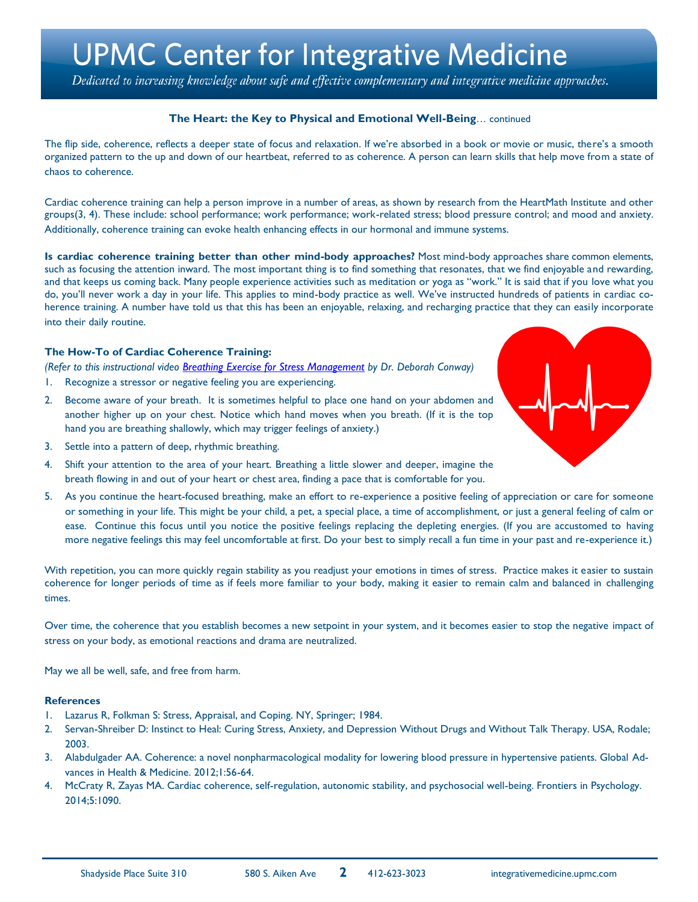### **UPMC Center for Integrative Medicine**

Dedicated to increasing knowledge about safe and effective complementary and integrative medicine approaches.

### **The Heart: the Key to Physical and Emotional Well-Being**… continued

The flip side, coherence, reflects a deeper state of focus and relaxation. If we're absorbed in a book or movie or music, there's a smooth organized pattern to the up and down of our heartbeat, referred to as coherence. A person can learn skills that help move from a state of chaos to coherence.

Cardiac coherence training can help a person improve in a number of areas, as shown by research from the HeartMath Institute and other groups(3, 4). These include: school performance; work performance; work-related stress; blood pressure control; and mood and anxiety. Additionally, coherence training can evoke health enhancing effects in our hormonal and immune systems.

**Is cardiac coherence training better than other mind-body approaches?** Most mind-body approaches share common elements, such as focusing the attention inward. The most important thing is to find something that resonates, that we find enjoyable and rewarding, and that keeps us coming back. Many people experience activities such as meditation or yoga as "work." It is said that if you love what you do, you'll never work a day in your life. This applies to mind-body practice as well. We've instructed hundreds of patients in cardiac coherence training. A number have told us that this has been an enjoyable, relaxing, and recharging practice that they can easily incorporate into their daily routine.

#### **The How-To of Cardiac Coherence Training:**

*(Refer to this instructional video [Breathing Exercise for Stress Management](https://www.youtube.com/watch?v=hdtgpc1zLlM&feature=youtu.be) by Dr. Deborah Conway)*

- 1. Recognize a stressor or negative feeling you are experiencing.
- 2. Become aware of your breath. It is sometimes helpful to place one hand on your abdomen and another higher up on your chest. Notice which hand moves when you breath. (If it is the top hand you are breathing shallowly, which may trigger feelings of anxiety.)
- 3. Settle into a pattern of deep, rhythmic breathing.
- 4. Shift your attention to the area of your heart. Breathing a little slower and deeper, imagine the breath flowing in and out of your heart or chest area, finding a pace that is comfortable for you.
- 5. As you continue the heart-focused breathing, make an effort to re-experience a positive feeling of appreciation or care for someone or something in your life. This might be your child, a pet, a special place, a time of accomplishment, or just a general feeling of calm or ease. Continue this focus until you notice the positive feelings replacing the depleting energies. (If you are accustomed to having more negative feelings this may feel uncomfortable at first. Do your best to simply recall a fun time in your past and re-experience it.)

With repetition, you can more quickly regain stability as you readjust your emotions in times of stress. Practice makes it easier to sustain coherence for longer periods of time as if feels more familiar to your body, making it easier to remain calm and balanced in challenging times.

Over time, the coherence that you establish becomes a new setpoint in your system, and it becomes easier to stop the negative impact of stress on your body, as emotional reactions and drama are neutralized.

May we all be well, safe, and free from harm.

#### **References**

- 1. Lazarus R, Folkman S: Stress, Appraisal, and Coping. NY, Springer; 1984.
- 2. Servan-Shreiber D: Instinct to Heal: Curing Stress, Anxiety, and Depression Without Drugs and Without Talk Therapy. USA, Rodale; 2003.
- 3. Alabdulgader AA. Coherence: a novel nonpharmacological modality for lowering blood pressure in hypertensive patients. Global Advances in Health & Medicine. 2012;1:56-64.
- 4. McCraty R, Zayas MA. Cardiac coherence, self-regulation, autonomic stability, and psychosocial well-being. Frontiers in Psychology. 2014;5:1090.